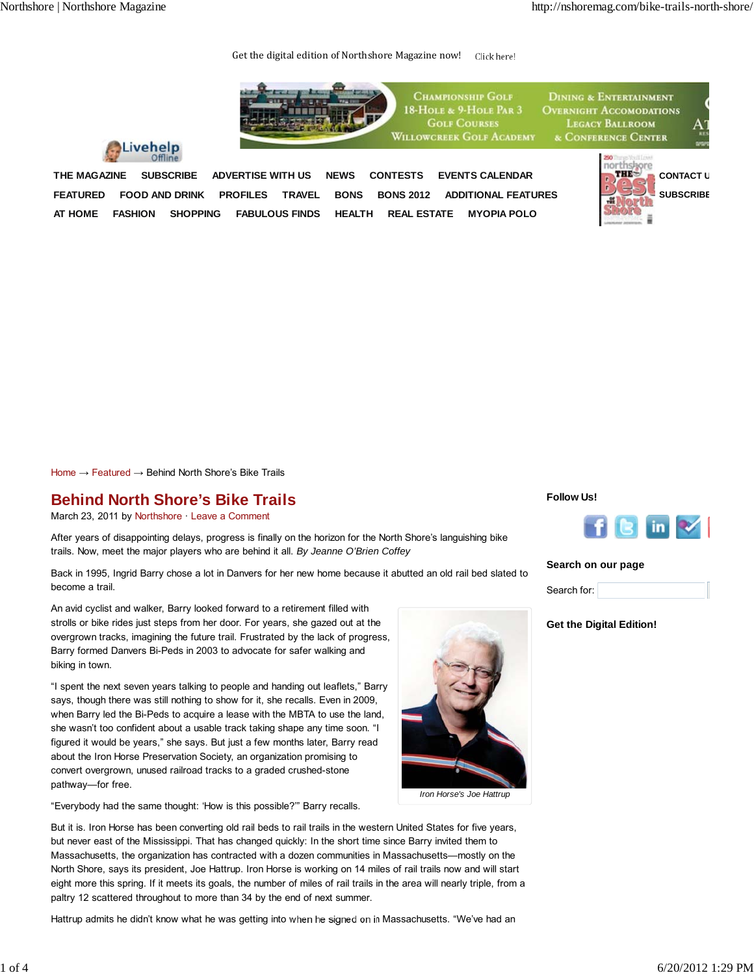**SUBSCRIBE**

#### Get the digital edition of Northshore Magazine now! Click here!



CHAMPIONSHIP GOLF 18-HOLE & 9-HOLE PAR 3 **GOLF COURSES** WILLOWCREEK GOLF ACADEMY

**DINING & ENTERTAINMENT OVERNIGHT ACCOMODATIONS LEGACY BALLROOM** & CONFERENCE CENTER



**AT HOME FASHION SHOPPING FABULOUS FINDS HEALTH REAL ESTATE MYOPIA POLO FEATURED FOOD AND DRINK PROFILES TRAVEL BONS BONS 2012 ADDITIONAL FEATURES THE MAGAZINE SUBSCRIBE ADVERTISE WITH US NEWS CONTESTS EVENTS CALENDAR CONTACT U**



# **Behind North Shore's Bike Trails**

March 23, 2011 by Northshore · Leave a Comment

After years of disappointing delays, progress is finally on the horizon for the North Shore's languishing bike trails. Now, meet the major players who are behind it all. *By Jeanne O'Brien Coffey*

Back in 1995, Ingrid Barry chose a lot in Danvers for her new home because it abutted an old rail bed slated to become a trail.

An avid cyclist and walker, Barry looked forward to a retirement filled with strolls or bike rides just steps from her door. For years, she gazed out at the overgrown tracks, imagining the future trail. Frustrated by the lack of progress, Barry formed Danvers Bi-Peds in 2003 to advocate for safer walking and biking in town.

"I spent the next seven years talking to people and handing out leaflets," Barry says, though there was still nothing to show for it, she recalls. Even in 2009, when Barry led the Bi-Peds to acquire a lease with the MBTA to use the land, she wasn't too confident about a usable track taking shape any time soon. "I figured it would be years," she says. But just a few months later, Barry read about the Iron Horse Preservation Society, an organization promising to convert overgrown, unused railroad tracks to a graded crushed-stone pathway—for free.

"Everybody had the same thought: 'How is this possible?'" Barry recalls.

But it is. Iron Horse has been converting old rail beds to rail trails in the western United States for five years, but never east of the Mississippi. That has changed quickly: In the short time since Barry invited them to Massachusetts, the organization has contracted with a dozen communities in Massachusetts—mostly on the North Shore, says its president, Joe Hattrup. Iron Horse is working on 14 miles of rail trails now and will start eight more this spring. If it meets its goals, the number of miles of rail trails in the area will nearly triple, from a paltry 12 scattered throughout to more than 34 by the end of next summer.

Hattrup admits he didn't know what he was getting into when he signed on in Massachusetts. "We've had an

**Follow Us!**

*Iron Horse's Joe Hattrup*



**Search on our page**

| Search for: |  |
|-------------|--|
|             |  |

**Get the Digital Edition!**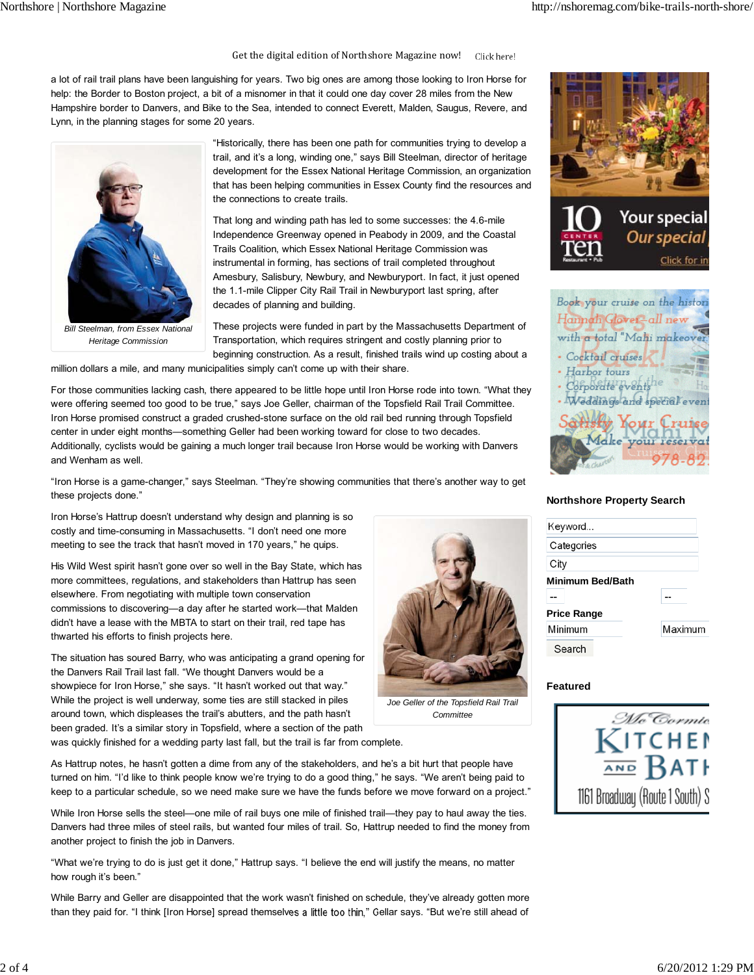#### launching and funding rails-to-trails conversion projects. So while the North Shore is a popular biking destination, Get the digital edition of Northshore Magazine now! Click here!

a lot of rail trail plans have been languishing for years. Two big ones are among those looking to Iron Horse for help: the Border to Boston project, a bit of a misnomer in that it could one day cover 28 miles from the New Hampshire border to Danvers, and Bike to the Sea, intended to connect Everett, Malden, Saugus, Revere, and Lynn, in the planning stages for some 20 years.



*Heritage Commission*

"Historically, there has been one path for communities trying to develop a trail, and it's a long, winding one," says Bill Steelman, director of heritage development for the Essex National Heritage Commission, an organization that has been helping communities in Essex County find the resources and the connections to create trails.

That long and winding path has led to some successes: the 4.6-mile Independence Greenway opened in Peabody in 2009, and the Coastal Trails Coalition, which Essex National Heritage Commission was instrumental in forming, has sections of trail completed throughout Amesbury, Salisbury, Newbury, and Newburyport. In fact, it just opened the 1.1-mile Clipper City Rail Trail in Newburyport last spring, after decades of planning and building.

These projects were funded in part by the Massachusetts Department of Transportation, which requires stringent and costly planning prior to beginning construction. As a result, finished trails wind up costing about a

million dollars a mile, and many municipalities simply can't come up with their share.

For those communities lacking cash, there appeared to be little hope until Iron Horse rode into town. "What they were offering seemed too good to be true," says Joe Geller, chairman of the Topsfield Rail Trail Committee. Iron Horse promised construct a graded crushed-stone surface on the old rail bed running through Topsfield center in under eight months—something Geller had been working toward for close to two decades. Additionally, cyclists would be gaining a much longer trail because Iron Horse would be working with Danvers and Wenham as well.

"Iron Horse is a game-changer," says Steelman. "They're showing communities that there's another way to get these projects done."

Iron Horse's Hattrup doesn't understand why design and planning is so costly and time-consuming in Massachusetts. "I don't need one more meeting to see the track that hasn't moved in 170 years," he quips.

His Wild West spirit hasn't gone over so well in the Bay State, which has more committees, regulations, and stakeholders than Hattrup has seen elsewhere. From negotiating with multiple town conservation commissions to discovering—a day after he started work—that Malden didn't have a lease with the MBTA to start on their trail, red tape has thwarted his efforts to finish projects here.

The situation has soured Barry, who was anticipating a grand opening for the Danvers Rail Trail last fall. "We thought Danvers would be a showpiece for Iron Horse," she says. "It hasn't worked out that way." While the project is well underway, some ties are still stacked in piles around town, which displeases the trail's abutters, and the path hasn't been graded. It's a similar story in Topsfield, where a section of the path was quickly finished for a wedding party last fall, but the trail is far from complete.



*Joe Geller of the Topsfield Rail Trail Committee*





#### **Northshore Property Search**

| Keyword          |         |
|------------------|---------|
| Categories       |         |
| City             |         |
| Minimum Bed/Bath |         |
|                  |         |
| Price Range      |         |
| Minimum          | Maximum |
| Search           |         |

#### **Featured**



As Hattrup notes, he hasn't gotten a dime from any of the stakeholders, and he's a bit hurt that people have turned on him. "I'd like to think people know we're trying to do a good thing," he says. "We aren't being paid to keep to a particular schedule, so we need make sure we have the funds before we move forward on a project."

While Iron Horse sells the steel—one mile of rail buys one mile of finished trail—they pay to haul away the ties. Danvers had three miles of steel rails, but wanted four miles of trail. So, Hattrup needed to find the money from another project to finish the job in Danvers.

"What we're trying to do is just get it done," Hattrup says. "I believe the end will justify the means, no matter how rough it's been."

While Barry and Geller are disappointed that the work wasn't finished on schedule, they've already gotten more than they paid for. "I think [Iron Horse] spread themselves a little too thin," Gellar says. "But we're still ahead of